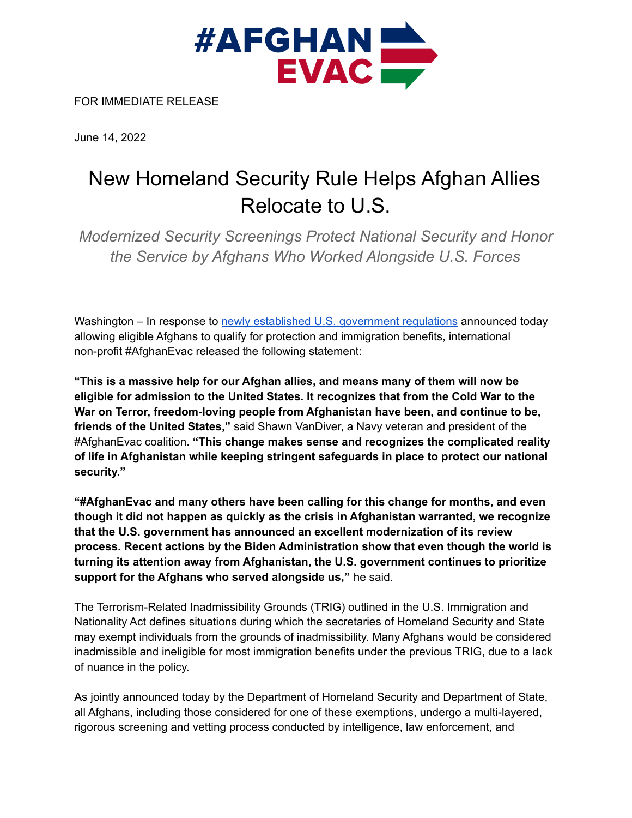

FOR IMMEDIATE RELEASE

June 14, 2022

## New Homeland Security Rule Helps Afghan Allies Relocate to U.S.

*Modernized Security Screenings Protect National Security and Honor the Service by Afghans Who Worked Alongside U.S. Forces*

Washington – In response to newly established U.S. [government](https://www.dhs.gov/news/2022/06/14/dhs-and-dos-announce-exemptions-allowing-eligible-afghans-qualify-protection-and) regulations announced today allowing eligible Afghans to qualify for protection and immigration benefits, international non-profit #AfghanEvac released the following statement:

**"This is a massive help for our Afghan allies, and means many of them will now be eligible for admission to the United States. It recognizes that from the Cold War to the War on Terror, freedom-loving people from Afghanistan have been, and continue to be, friends of the United States,"** said Shawn VanDiver, a Navy veteran and president of the #AfghanEvac coalition. **"This change makes sense and recognizes the complicated reality of life in Afghanistan while keeping stringent safeguards in place to protect our national security."**

**"#AfghanEvac and many others have been calling for this change for months, and even though it did not happen as quickly as the crisis in Afghanistan warranted, we recognize that the U.S. government has announced an excellent modernization of its review process. Recent actions by the Biden Administration show that even though the world is turning its attention away from Afghanistan, the U.S. government continues to prioritize support for the Afghans who served alongside us,"** he said.

The Terrorism-Related Inadmissibility Grounds (TRIG) outlined in the U.S. Immigration and Nationality Act defines situations during which the secretaries of Homeland Security and State may exempt individuals from the grounds of inadmissibility. Many Afghans would be considered inadmissible and ineligible for most immigration benefits under the previous TRIG, due to a lack of nuance in the policy.

As jointly announced today by the Department of Homeland Security and Department of State, all Afghans, including those considered for one of these exemptions, undergo a multi-layered, rigorous screening and vetting process conducted by intelligence, law enforcement, and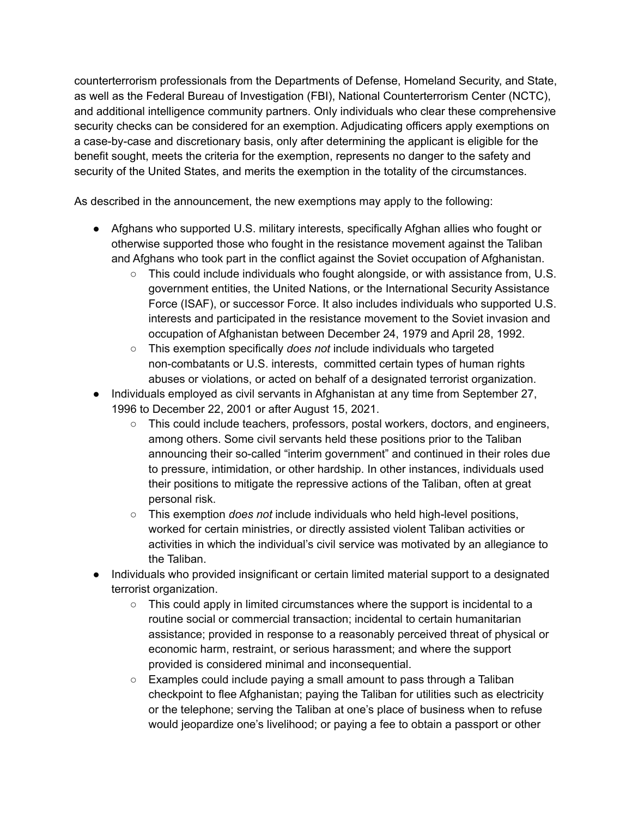counterterrorism professionals from the Departments of Defense, Homeland Security, and State, as well as the Federal Bureau of Investigation (FBI), National Counterterrorism Center (NCTC), and additional intelligence community partners. Only individuals who clear these comprehensive security checks can be considered for an exemption. Adjudicating officers apply exemptions on a case-by-case and discretionary basis, only after determining the applicant is eligible for the benefit sought, meets the criteria for the exemption, represents no danger to the safety and security of the United States, and merits the exemption in the totality of the circumstances.

As described in the announcement, the new exemptions may apply to the following:

- Afghans who supported U.S. military interests, specifically Afghan allies who fought or otherwise supported those who fought in the resistance movement against the Taliban and Afghans who took part in the conflict against the Soviet occupation of Afghanistan.
	- $\circ$  This could include individuals who fought alongside, or with assistance from, U.S. government entities, the United Nations, or the International Security Assistance Force (ISAF), or successor Force. It also includes individuals who supported U.S. interests and participated in the resistance movement to the Soviet invasion and occupation of Afghanistan between December 24, 1979 and April 28, 1992.
	- This exemption specifically *does not* include individuals who targeted non-combatants or U.S. interests, committed certain types of human rights abuses or violations, or acted on behalf of a designated terrorist organization.
- Individuals employed as civil servants in Afghanistan at any time from September 27, 1996 to December 22, 2001 or after August 15, 2021.
	- This could include teachers, professors, postal workers, doctors, and engineers, among others. Some civil servants held these positions prior to the Taliban announcing their so-called "interim government" and continued in their roles due to pressure, intimidation, or other hardship. In other instances, individuals used their positions to mitigate the repressive actions of the Taliban, often at great personal risk.
	- This exemption *does not* include individuals who held high-level positions, worked for certain ministries, or directly assisted violent Taliban activities or activities in which the individual's civil service was motivated by an allegiance to the Taliban.
- Individuals who provided insignificant or certain limited material support to a designated terrorist organization.
	- $\circ$  This could apply in limited circumstances where the support is incidental to a routine social or commercial transaction; incidental to certain humanitarian assistance; provided in response to a reasonably perceived threat of physical or economic harm, restraint, or serious harassment; and where the support provided is considered minimal and inconsequential.
	- Examples could include paying a small amount to pass through a Taliban checkpoint to flee Afghanistan; paying the Taliban for utilities such as electricity or the telephone; serving the Taliban at one's place of business when to refuse would jeopardize one's livelihood; or paying a fee to obtain a passport or other